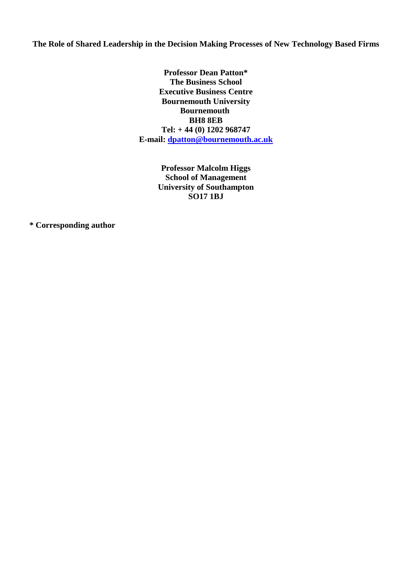**The Role of Shared Leadership in the Decision Making Processes of New Technology Based Firms**

**Professor Dean Patton\* The Business School Executive Business Centre Bournemouth University Bournemouth BH8 8EB Tel: + 44 (0) 1202 968747 E-mail: dpatton@bournemouth.ac.uk**

> **Professor Malcolm Higgs School of Management University of Southampton SO17 1BJ**

**\* Corresponding author**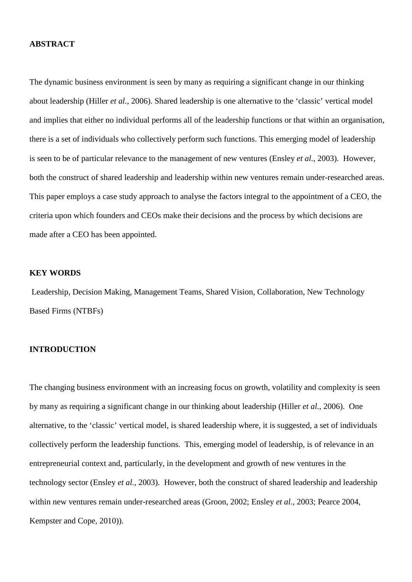# **ABSTRACT**

The dynamic business environment is seen by many as requiring a significant change in our thinking about leadership (Hiller *et al.*, 2006). Shared leadership is one alternative to the 'classic' vertical model and implies that either no individual performs all of the leadership functions or that within an organisation, there is a set of individuals who collectively perform such functions. This emerging model of leadership is seen to be of particular relevance to the management of new ventures (Ensley *et al.*, 2003). However, both the construct of shared leadership and leadership within new ventures remain under-researched areas. This paper employs a case study approach to analyse the factors integral to the appointment of a CEO, the criteria upon which founders and CEOs make their decisions and the process by which decisions are made after a CEO has been appointed.

# **KEY WORDS**

Leadership, Decision Making, Management Teams, Shared Vision, Collaboration, New Technology Based Firms (NTBFs)

# **INTRODUCTION**

The changing business environment with an increasing focus on growth, volatility and complexity is seen by many as requiring a significant change in our thinking about leadership (Hiller *et al.*, 2006). One alternative, to the 'classic' vertical model, is shared leadership where, it is suggested, a set of individuals collectively perform the leadership functions. This, emerging model of leadership, is of relevance in an entrepreneurial context and, particularly, in the development and growth of new ventures in the technology sector (Ensley *et al.*, 2003). However, both the construct of shared leadership and leadership within new ventures remain under-researched areas (Groon, 2002; Ensley *et al.,* 2003; Pearce 2004, Kempster and Cope, 2010)).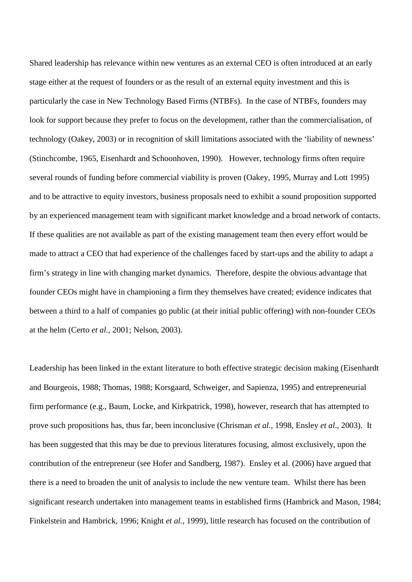Shared leadership has relevance within new ventures as an external CEO is often introduced at an early stage either at the request of founders or as the result of an external equity investment and this is particularly the case in New Technology Based Firms (NTBFs). In the case of NTBFs, founders may look for support because they prefer to focus on the development, rather than the commercialisation, of technology (Oakey, 2003) or in recognition of skill limitations associated with the 'liability of newness' (Stinchcombe, 1965, Eisenhardt and Schoonhoven, 1990). However, technology firms often require several rounds of funding before commercial viability is proven (Oakey, 1995, Murray and Lott 1995) and to be attractive to equity investors, business proposals need to exhibit a sound proposition supported by an experienced management team with significant market knowledge and a broad network of contacts. If these qualities are not available as part of the existing management team then every effort would be made to attract a CEO that had experience of the challenges faced by start-ups and the ability to adapt a firm's strategy in line with changing market dynamics. Therefore, despite the obvious advantage that founder CEOs might have in championing a firm they themselves have created; evidence indicates that between a third to a half of companies go public (at their initial public offering) with non-founder CEOs at the helm (Certo *et al.,* 2001; Nelson, 2003).

Leadership has been linked in the extant literature to both effective strategic decision making (Eisenhardt and Bourgeois, 1988; Thomas, 1988; Korsgaard, Schweiger, and Sapienza, 1995) and entrepreneurial firm performance (e.g., Baum, Locke, and Kirkpatrick, 1998), however, research that has attempted to prove such propositions has, thus far, been inconclusive (Chrisman *et al.,* 1998, Ensley *et al*., 2003). It has been suggested that this may be due to previous literatures focusing, almost exclusively, upon the contribution of the entrepreneur (see Hofer and Sandberg, 1987). Ensley et al. (2006) have argued that there is a need to broaden the unit of analysis to include the new venture team. Whilst there has been significant research undertaken into management teams in established firms (Hambrick and Mason, 1984; Finkelstein and Hambrick, 1996; Knight *et al.*, 1999), little research has focused on the contribution of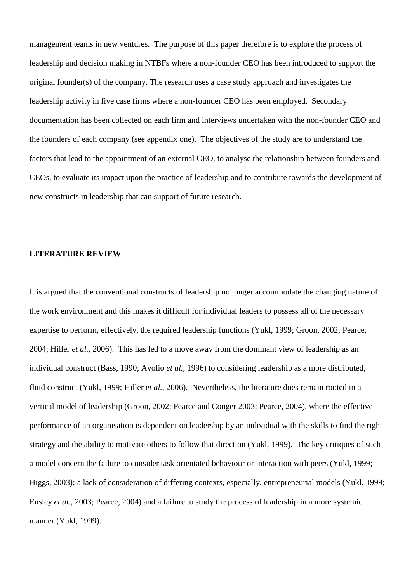management teams in new ventures. The purpose of this paper therefore is to explore the process of leadership and decision making in NTBFs where a non-founder CEO has been introduced to support the original founder(s) of the company. The research uses a case study approach and investigates the leadership activity in five case firms where a non-founder CEO has been employed. Secondary documentation has been collected on each firm and interviews undertaken with the non-founder CEO and the founders of each company (see appendix one). The objectives of the study are to understand the factors that lead to the appointment of an external CEO, to analyse the relationship between founders and CEOs, to evaluate its impact upon the practice of leadership and to contribute towards the development of new constructs in leadership that can support of future research.

# **LITERATURE REVIEW**

It is argued that the conventional constructs of leadership no longer accommodate the changing nature of the work environment and this makes it difficult for individual leaders to possess all of the necessary expertise to perform, effectively, the required leadership functions (Yukl, 1999; Groon, 2002; Pearce, 2004; Hiller *et al.,* 2006). This has led to a move away from the dominant view of leadership as an individual construct (Bass, 1990; Avolio *et al.,* 1996) to considering leadership as a more distributed, fluid construct (Yukl, 1999; Hiller e*t al.,* 2006). Nevertheless, the literature does remain rooted in a vertical model of leadership (Groon, 2002; Pearce and Conger 2003; Pearce, 2004), where the effective performance of an organisation is dependent on leadership by an individual with the skills to find the right strategy and the ability to motivate others to follow that direction (Yukl, 1999). The key critiques of such a model concern the failure to consider task orientated behaviour or interaction with peers (Yukl, 1999; Higgs, 2003); a lack of consideration of differing contexts, especially, entrepreneurial models (Yukl, 1999; Ensley *et al.,* 2003; Pearce, 2004) and a failure to study the process of leadership in a more systemic manner (Yukl, 1999).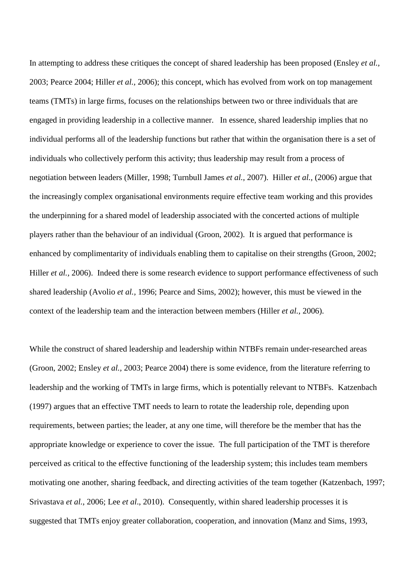In attempting to address these critiques the concept of shared leadership has been proposed (Ensley *et al.,*  2003; Pearce 2004; Hiller *et al.,* 2006); this concept, which has evolved from work on top management teams (TMTs) in large firms, focuses on the relationships between two or three individuals that are engaged in providing leadership in a collective manner. In essence, shared leadership implies that no individual performs all of the leadership functions but rather that within the organisation there is a set of individuals who collectively perform this activity; thus leadership may result from a process of negotiation between leaders (Miller, 1998; Turnbull James *et al.*, 2007). Hiller *et al.,* (2006) argue that the increasingly complex organisational environments require effective team working and this provides the underpinning for a shared model of leadership associated with the concerted actions of multiple players rather than the behaviour of an individual (Groon, 2002). It is argued that performance is enhanced by complimentarity of individuals enabling them to capitalise on their strengths (Groon, 2002; Hiller *et al.*, 2006). Indeed there is some research evidence to support performance effectiveness of such shared leadership (Avolio *et al.,* 1996; Pearce and Sims, 2002); however, this must be viewed in the context of the leadership team and the interaction between members (Hiller *et al.,* 2006).

While the construct of shared leadership and leadership within NTBFs remain under-researched areas (Groon, 2002; Ensley *et al.,* 2003; Pearce 2004) there is some evidence, from the literature referring to leadership and the working of TMTs in large firms, which is potentially relevant to NTBFs. Katzenbach (1997) argues that an effective TMT needs to learn to rotate the leadership role, depending upon requirements, between parties; the leader, at any one time, will therefore be the member that has the appropriate knowledge or experience to cover the issue. The full participation of the TMT is therefore perceived as critical to the effective functioning of the leadership system; this includes team members motivating one another, sharing feedback, and directing activities of the team together (Katzenbach, 1997; Srivastava *et al.*, 2006; Lee *et al*., 2010). Consequently, within shared leadership processes it is suggested that TMTs enjoy greater collaboration, cooperation, and innovation (Manz and Sims, 1993,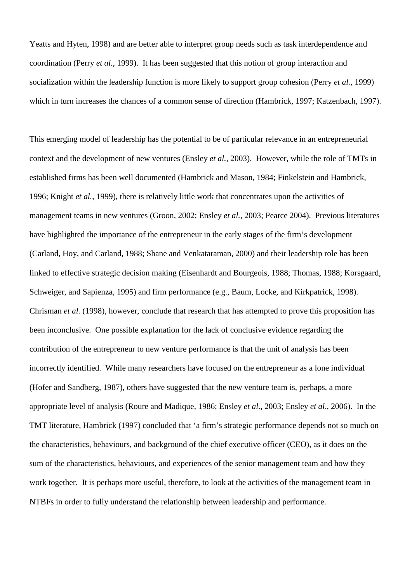Yeatts and Hyten, 1998) and are better able to interpret group needs such as task interdependence and coordination (Perry *et al.*, 1999). It has been suggested that this notion of group interaction and socialization within the leadership function is more likely to support group cohesion (Perry *et al.*, 1999) which in turn increases the chances of a common sense of direction (Hambrick, 1997; Katzenbach, 1997).

This emerging model of leadership has the potential to be of particular relevance in an entrepreneurial context and the development of new ventures (Ensley *et al.,* 2003). However, while the role of TMTs in established firms has been well documented (Hambrick and Mason, 1984; Finkelstein and Hambrick, 1996; Knight *et al.*, 1999), there is relatively little work that concentrates upon the activities of management teams in new ventures (Groon, 2002; Ensley *et al.,* 2003; Pearce 2004). Previous literatures have highlighted the importance of the entrepreneur in the early stages of the firm's development (Carland, Hoy, and Carland, 1988; Shane and Venkataraman, 2000) and their leadership role has been linked to effective strategic decision making (Eisenhardt and Bourgeois, 1988; Thomas, 1988; Korsgaard, Schweiger, and Sapienza, 1995) and firm performance (e.g., Baum, Locke, and Kirkpatrick, 1998). Chrisman *et al.* (1998), however, conclude that research that has attempted to prove this proposition has been inconclusive. One possible explanation for the lack of conclusive evidence regarding the contribution of the entrepreneur to new venture performance is that the unit of analysis has been incorrectly identified. While many researchers have focused on the entrepreneur as a lone individual (Hofer and Sandberg, 1987), others have suggested that the new venture team is, perhaps, a more appropriate level of analysis (Roure and Madique, 1986; Ensley *et al*., 2003; Ensley *et al*., 2006). In the TMT literature, Hambrick (1997) concluded that 'a firm's strategic performance depends not so much on the characteristics, behaviours, and background of the chief executive officer (CEO), as it does on the sum of the characteristics, behaviours, and experiences of the senior management team and how they work together. It is perhaps more useful, therefore, to look at the activities of the management team in NTBFs in order to fully understand the relationship between leadership and performance.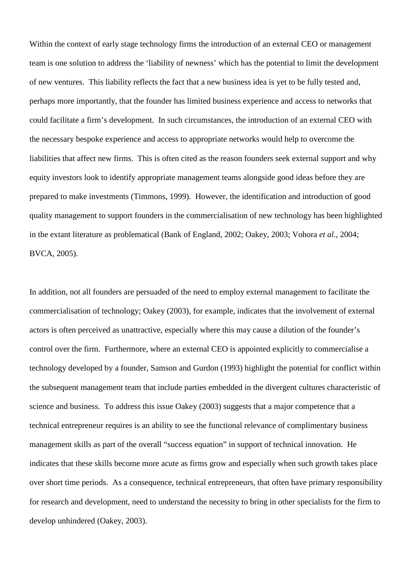Within the context of early stage technology firms the introduction of an external CEO or management team is one solution to address the 'liability of newness' which has the potential to limit the development of new ventures. This liability reflects the fact that a new business idea is yet to be fully tested and, perhaps more importantly, that the founder has limited business experience and access to networks that could facilitate a firm's development. In such circumstances, the introduction of an external CEO with the necessary bespoke experience and access to appropriate networks would help to overcome the liabilities that affect new firms. This is often cited as the reason founders seek external support and why equity investors look to identify appropriate management teams alongside good ideas before they are prepared to make investments (Timmons, 1999). However, the identification and introduction of good quality management to support founders in the commercialisation of new technology has been highlighted in the extant literature as problematical (Bank of England, 2002; Oakey, 2003; Vohora *et al.*, 2004; BVCA, 2005).

In addition, not all founders are persuaded of the need to employ external management to facilitate the commercialisation of technology; Oakey (2003), for example, indicates that the involvement of external actors is often perceived as unattractive, especially where this may cause a dilution of the founder's control over the firm. Furthermore, where an external CEO is appointed explicitly to commercialise a technology developed by a founder, Samson and Gurdon (1993) highlight the potential for conflict within the subsequent management team that include parties embedded in the divergent cultures characteristic of science and business. To address this issue Oakey (2003) suggests that a major competence that a technical entrepreneur requires is an ability to see the functional relevance of complimentary business management skills as part of the overall "success equation" in support of technical innovation. He indicates that these skills become more acute as firms grow and especially when such growth takes place over short time periods. As a consequence, technical entrepreneurs, that often have primary responsibility for research and development, need to understand the necessity to bring in other specialists for the firm to develop unhindered (Oakey, 2003).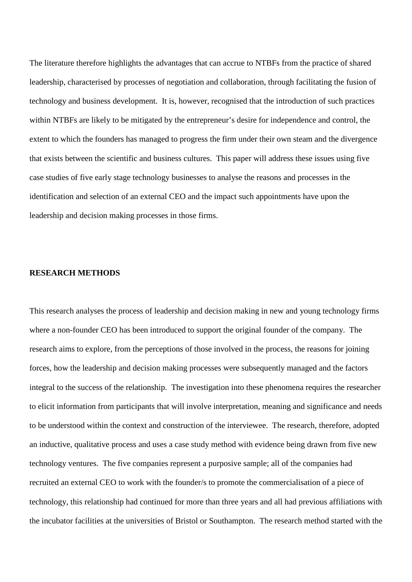The literature therefore highlights the advantages that can accrue to NTBFs from the practice of shared leadership, characterised by processes of negotiation and collaboration, through facilitating the fusion of technology and business development. It is, however, recognised that the introduction of such practices within NTBFs are likely to be mitigated by the entrepreneur's desire for independence and control, the extent to which the founders has managed to progress the firm under their own steam and the divergence that exists between the scientific and business cultures. This paper will address these issues using five case studies of five early stage technology businesses to analyse the reasons and processes in the identification and selection of an external CEO and the impact such appointments have upon the leadership and decision making processes in those firms.

## **RESEARCH METHODS**

This research analyses the process of leadership and decision making in new and young technology firms where a non-founder CEO has been introduced to support the original founder of the company. The research aims to explore, from the perceptions of those involved in the process, the reasons for joining forces, how the leadership and decision making processes were subsequently managed and the factors integral to the success of the relationship. The investigation into these phenomena requires the researcher to elicit information from participants that will involve interpretation, meaning and significance and needs to be understood within the context and construction of the interviewee. The research, therefore, adopted an inductive, qualitative process and uses a case study method with evidence being drawn from five new technology ventures. The five companies represent a purposive sample; all of the companies had recruited an external CEO to work with the founder/s to promote the commercialisation of a piece of technology, this relationship had continued for more than three years and all had previous affiliations with the incubator facilities at the universities of Bristol or Southampton. The research method started with the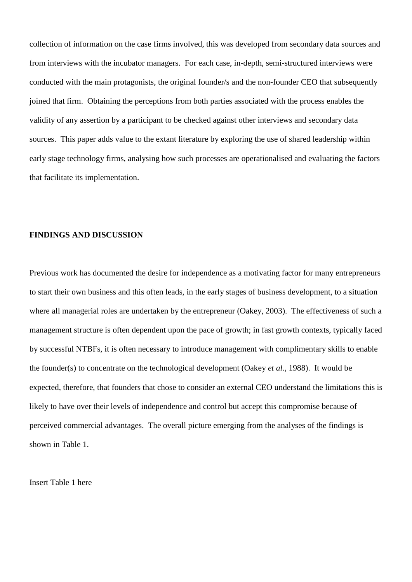collection of information on the case firms involved, this was developed from secondary data sources and from interviews with the incubator managers. For each case, in-depth, semi-structured interviews were conducted with the main protagonists, the original founder/s and the non-founder CEO that subsequently joined that firm. Obtaining the perceptions from both parties associated with the process enables the validity of any assertion by a participant to be checked against other interviews and secondary data sources. This paper adds value to the extant literature by exploring the use of shared leadership within early stage technology firms, analysing how such processes are operationalised and evaluating the factors that facilitate its implementation.

#### **FINDINGS AND DISCUSSION**

Previous work has documented the desire for independence as a motivating factor for many entrepreneurs to start their own business and this often leads, in the early stages of business development, to a situation where all managerial roles are undertaken by the entrepreneur (Oakey, 2003). The effectiveness of such a management structure is often dependent upon the pace of growth; in fast growth contexts, typically faced by successful NTBFs, it is often necessary to introduce management with complimentary skills to enable the founder(s) to concentrate on the technological development (Oakey *et al.*, 1988). It would be expected, therefore, that founders that chose to consider an external CEO understand the limitations this is likely to have over their levels of independence and control but accept this compromise because of perceived commercial advantages. The overall picture emerging from the analyses of the findings is shown in Table 1.

Insert Table 1 here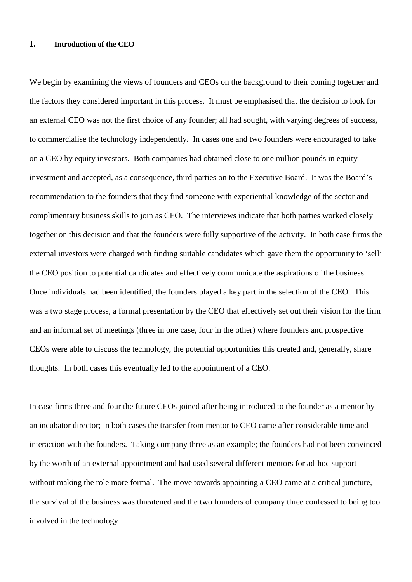## **1. Introduction of the CEO**

We begin by examining the views of founders and CEOs on the background to their coming together and the factors they considered important in this process. It must be emphasised that the decision to look for an external CEO was not the first choice of any founder; all had sought, with varying degrees of success, to commercialise the technology independently. In cases one and two founders were encouraged to take on a CEO by equity investors. Both companies had obtained close to one million pounds in equity investment and accepted, as a consequence, third parties on to the Executive Board. It was the Board's recommendation to the founders that they find someone with experiential knowledge of the sector and complimentary business skills to join as CEO. The interviews indicate that both parties worked closely together on this decision and that the founders were fully supportive of the activity. In both case firms the external investors were charged with finding suitable candidates which gave them the opportunity to 'sell' the CEO position to potential candidates and effectively communicate the aspirations of the business. Once individuals had been identified, the founders played a key part in the selection of the CEO. This was a two stage process, a formal presentation by the CEO that effectively set out their vision for the firm and an informal set of meetings (three in one case, four in the other) where founders and prospective CEOs were able to discuss the technology, the potential opportunities this created and, generally, share thoughts. In both cases this eventually led to the appointment of a CEO.

In case firms three and four the future CEOs joined after being introduced to the founder as a mentor by an incubator director; in both cases the transfer from mentor to CEO came after considerable time and interaction with the founders. Taking company three as an example; the founders had not been convinced by the worth of an external appointment and had used several different mentors for ad-hoc support without making the role more formal. The move towards appointing a CEO came at a critical juncture, the survival of the business was threatened and the two founders of company three confessed to being too involved in the technology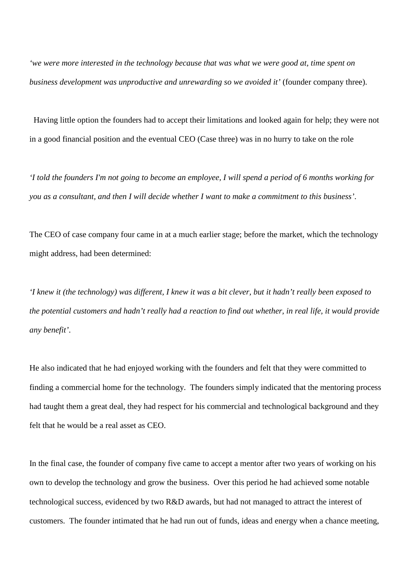*'we were more interested in the technology because that was what we were good at, time spent on business development was unproductive and unrewarding so we avoided it'* (founder company three).

 Having little option the founders had to accept their limitations and looked again for help; they were not in a good financial position and the eventual CEO (Case three) was in no hurry to take on the role

*'I told the founders I'm not going to become an employee, I will spend a period of 6 months working for you as a consultant, and then I will decide whether I want to make a commitment to this business'*.

The CEO of case company four came in at a much earlier stage; before the market, which the technology might address, had been determined:

*'I knew it (the technology) was different, I knew it was a bit clever, but it hadn't really been exposed to the potential customers and hadn't really had a reaction to find out whether, in real life, it would provide any benefit'*.

He also indicated that he had enjoyed working with the founders and felt that they were committed to finding a commercial home for the technology. The founders simply indicated that the mentoring process had taught them a great deal, they had respect for his commercial and technological background and they felt that he would be a real asset as CEO.

In the final case, the founder of company five came to accept a mentor after two years of working on his own to develop the technology and grow the business. Over this period he had achieved some notable technological success, evidenced by two R&D awards, but had not managed to attract the interest of customers. The founder intimated that he had run out of funds, ideas and energy when a chance meeting,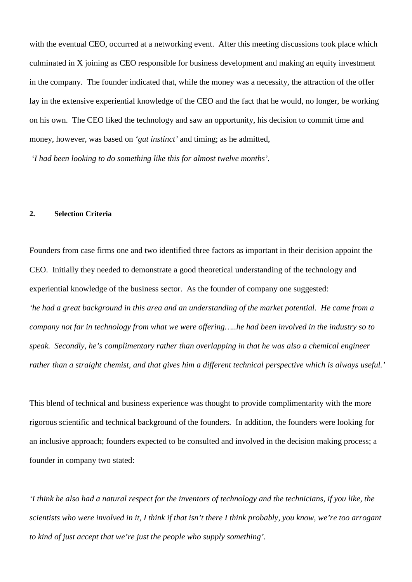with the eventual CEO, occurred at a networking event. After this meeting discussions took place which culminated in X joining as CEO responsible for business development and making an equity investment in the company. The founder indicated that, while the money was a necessity, the attraction of the offer lay in the extensive experiential knowledge of the CEO and the fact that he would, no longer, be working on his own. The CEO liked the technology and saw an opportunity, his decision to commit time and money, however, was based on *'gut instinct'* and timing; as he admitted,

*'I had been looking to do something like this for almost twelve months'*.

#### **2. Selection Criteria**

Founders from case firms one and two identified three factors as important in their decision appoint the CEO. Initially they needed to demonstrate a good theoretical understanding of the technology and experiential knowledge of the business sector. As the founder of company one suggested: *'he had a great background in this area and an understanding of the market potential. He came from a company not far in technology from what we were offering…..he had been involved in the industry so to speak. Secondly, he's complimentary rather than overlapping in that he was also a chemical engineer rather than a straight chemist, and that gives him a different technical perspective which is always useful.'* 

This blend of technical and business experience was thought to provide complimentarity with the more rigorous scientific and technical background of the founders. In addition, the founders were looking for an inclusive approach; founders expected to be consulted and involved in the decision making process; a founder in company two stated:

*'I think he also had a natural respect for the inventors of technology and the technicians, if you like, the scientists who were involved in it, I think if that isn't there I think probably, you know, we're too arrogant to kind of just accept that we're just the people who supply something'.*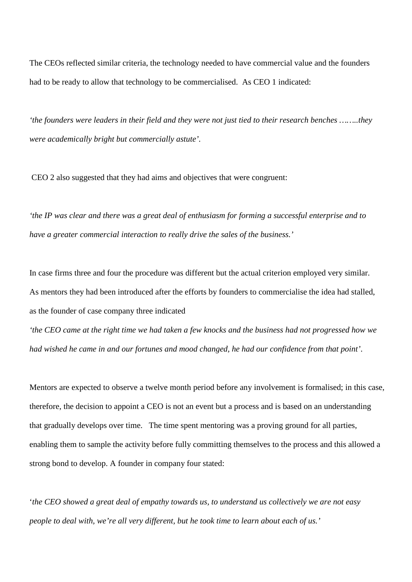The CEOs reflected similar criteria, the technology needed to have commercial value and the founders had to be ready to allow that technology to be commercialised. As CEO 1 indicated:

*'the founders were leaders in their field and they were not just tied to their research benches ……..they were academically bright but commercially astute'.* 

CEO 2 also suggested that they had aims and objectives that were congruent:

*'the IP was clear and there was a great deal of enthusiasm for forming a successful enterprise and to have a greater commercial interaction to really drive the sales of the business.'*

In case firms three and four the procedure was different but the actual criterion employed very similar. As mentors they had been introduced after the efforts by founders to commercialise the idea had stalled, as the founder of case company three indicated

*'the CEO came at the right time we had taken a few knocks and the business had not progressed how we had wished he came in and our fortunes and mood changed, he had our confidence from that point'*.

Mentors are expected to observe a twelve month period before any involvement is formalised; in this case, therefore, the decision to appoint a CEO is not an event but a process and is based on an understanding that gradually develops over time. The time spent mentoring was a proving ground for all parties, enabling them to sample the activity before fully committing themselves to the process and this allowed a strong bond to develop. A founder in company four stated:

'*the CEO showed a great deal of empathy towards us, to understand us collectively we are not easy people to deal with, we're all very different, but he took time to learn about each of us.'*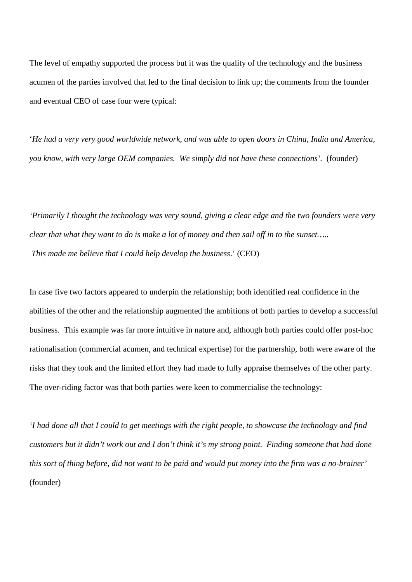The level of empathy supported the process but it was the quality of the technology and the business acumen of the parties involved that led to the final decision to link up; the comments from the founder and eventual CEO of case four were typical:

'*He had a very very good worldwide network, and was able to open doors in China, India and America, you know, with very large OEM companies. We simply did not have these connections'.* (founder)

*'Primarily I thought the technology was very sound, giving a clear edge and the two founders were very clear that what they want to do is make a lot of money and then sail off in to the sunset….. This made me believe that I could help develop the business*.' (CEO)

In case five two factors appeared to underpin the relationship; both identified real confidence in the abilities of the other and the relationship augmented the ambitions of both parties to develop a successful business. This example was far more intuitive in nature and, although both parties could offer post-hoc rationalisation (commercial acumen, and technical expertise) for the partnership, both were aware of the risks that they took and the limited effort they had made to fully appraise themselves of the other party. The over-riding factor was that both parties were keen to commercialise the technology:

*'I had done all that I could to get meetings with the right people, to showcase the technology and find customers but it didn't work out and I don't think it's my strong point. Finding someone that had done this sort of thing before, did not want to be paid and would put money into the firm was a no-brainer'*  (founder)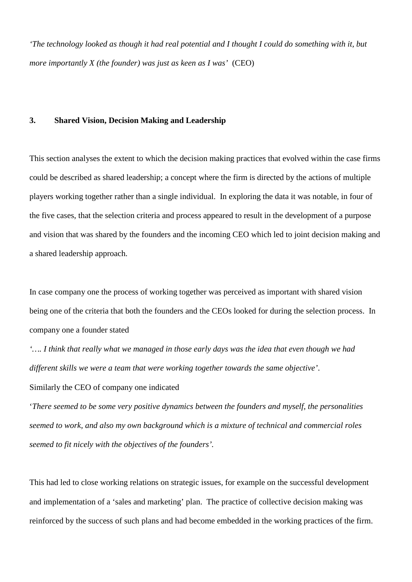*'The technology looked as though it had real potential and I thought I could do something with it, but more importantly X (the founder) was just as keen as I was'* (CEO)

### **3. Shared Vision, Decision Making and Leadership**

This section analyses the extent to which the decision making practices that evolved within the case firms could be described as shared leadership; a concept where the firm is directed by the actions of multiple players working together rather than a single individual. In exploring the data it was notable, in four of the five cases, that the selection criteria and process appeared to result in the development of a purpose and vision that was shared by the founders and the incoming CEO which led to joint decision making and a shared leadership approach.

In case company one the process of working together was perceived as important with shared vision being one of the criteria that both the founders and the CEOs looked for during the selection process. In company one a founder stated

*'…. I think that really what we managed in those early days was the idea that even though we had different skills we were a team that were working together towards the same objective'*.

# Similarly the CEO of company one indicated

'*There seemed to be some very positive dynamics between the founders and myself, the personalities seemed to work, and also my own background which is a mixture of technical and commercial roles seemed to fit nicely with the objectives of the founders'.*

This had led to close working relations on strategic issues, for example on the successful development and implementation of a 'sales and marketing' plan. The practice of collective decision making was reinforced by the success of such plans and had become embedded in the working practices of the firm.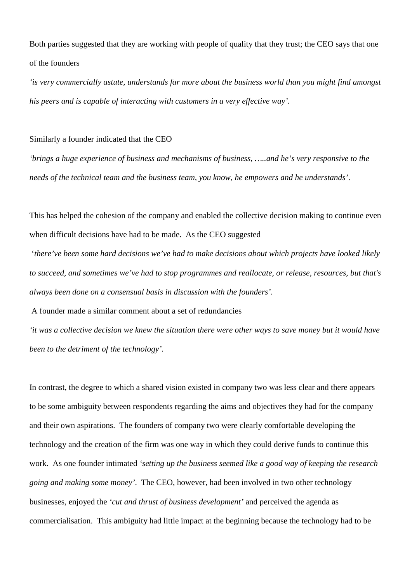Both parties suggested that they are working with people of quality that they trust; the CEO says that one of the founders

*'is very commercially astute, understands far more about the business world than you might find amongst his peers and is capable of interacting with customers in a very effective way'.*

### Similarly a founder indicated that the CEO

*'brings a huge experience of business and mechanisms of business, …..and he's very responsive to the needs of the technical team and the business team, you know, he empowers and he understands'*.

This has helped the cohesion of the company and enabled the collective decision making to continue even when difficult decisions have had to be made. As the CEO suggested

'*there've been some hard decisions we've had to make decisions about which projects have looked likely to succeed, and sometimes we've had to stop programmes and reallocate, or release, resources, but that's always been done on a consensual basis in discussion with the founders'.* 

A founder made a similar comment about a set of redundancies

*'it was a collective decision we knew the situation there were other ways to save money but it would have been to the detriment of the technology'.*

In contrast, the degree to which a shared vision existed in company two was less clear and there appears to be some ambiguity between respondents regarding the aims and objectives they had for the company and their own aspirations. The founders of company two were clearly comfortable developing the technology and the creation of the firm was one way in which they could derive funds to continue this work. As one founder intimated *'setting up the business seemed like a good way of keeping the research going and making some money'*. The CEO, however, had been involved in two other technology businesses, enjoyed the *'cut and thrust of business development'* and perceived the agenda as commercialisation. This ambiguity had little impact at the beginning because the technology had to be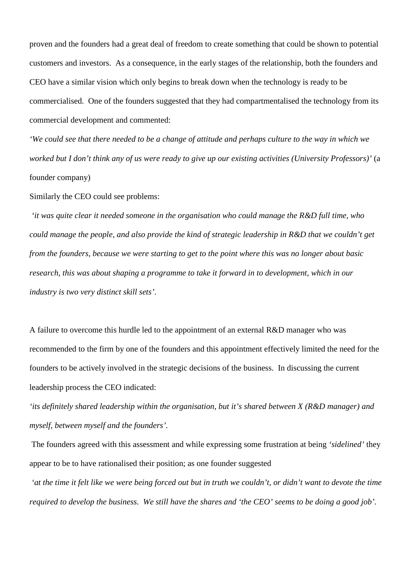proven and the founders had a great deal of freedom to create something that could be shown to potential customers and investors. As a consequence, in the early stages of the relationship, both the founders and CEO have a similar vision which only begins to break down when the technology is ready to be commercialised. One of the founders suggested that they had compartmentalised the technology from its commercial development and commented:

*'We could see that there needed to be a change of attitude and perhaps culture to the way in which we worked but I don't think any of us were ready to give up our existing activities (University Professors)'* (a founder company)

Similarly the CEO could see problems:

*'it was quite clear it needed someone in the organisation who could manage the R&D full time, who could manage the people, and also provide the kind of strategic leadership in R&D that we couldn't get from the founders, because we were starting to get to the point where this was no longer about basic research, this was about shaping a programme to take it forward in to development, which in our industry is two very distinct skill sets'*.

A failure to overcome this hurdle led to the appointment of an external R&D manager who was recommended to the firm by one of the founders and this appointment effectively limited the need for the founders to be actively involved in the strategic decisions of the business. In discussing the current leadership process the CEO indicated:

*'its definitely shared leadership within the organisation, but it's shared between X (R&D manager) and myself, between myself and the founders'.* 

The founders agreed with this assessment and while expressing some frustration at being *'sidelined'* they appear to be to have rationalised their position; as one founder suggested

*'at the time it felt like we were being forced out but in truth we couldn't, or didn't want to devote the time required to develop the business. We still have the shares and 'the CEO' seems to be doing a good job'.*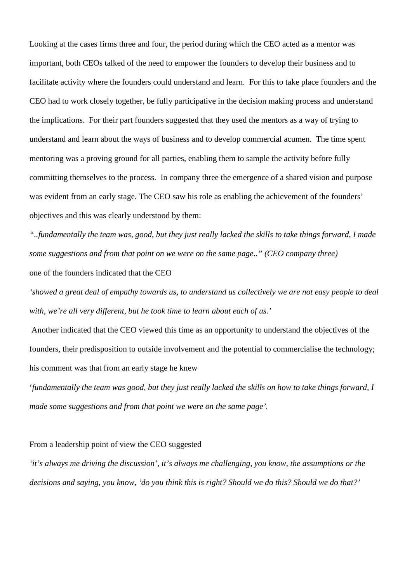Looking at the cases firms three and four, the period during which the CEO acted as a mentor was important, both CEOs talked of the need to empower the founders to develop their business and to facilitate activity where the founders could understand and learn. For this to take place founders and the CEO had to work closely together, be fully participative in the decision making process and understand the implications. For their part founders suggested that they used the mentors as a way of trying to understand and learn about the ways of business and to develop commercial acumen. The time spent mentoring was a proving ground for all parties, enabling them to sample the activity before fully committing themselves to the process. In company three the emergence of a shared vision and purpose was evident from an early stage. The CEO saw his role as enabling the achievement of the founders' objectives and this was clearly understood by them:

*"..fundamentally the team was, good, but they just really lacked the skills to take things forward, I made some suggestions and from that point on we were on the same page.." (CEO company three)* one of the founders indicated that the CEO

*'showed a great deal of empathy towards us, to understand us collectively we are not easy people to deal with, we're all very different, but he took time to learn about each of us.'*

Another indicated that the CEO viewed this time as an opportunity to understand the objectives of the founders, their predisposition to outside involvement and the potential to commercialise the technology; his comment was that from an early stage he knew

'*fundamentally the team was good, but they just really lacked the skills on how to take things forward, I made some suggestions and from that point we were on the same page'.*

### From a leadership point of view the CEO suggested

*'it's always me driving the discussion', it's always me challenging, you know, the assumptions or the decisions and saying, you know, 'do you think this is right? Should we do this? Should we do that?'*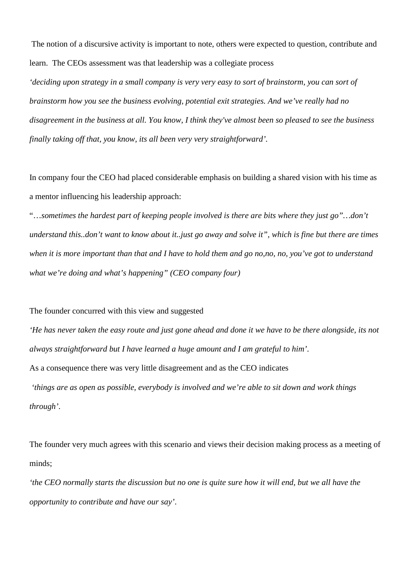The notion of a discursive activity is important to note, others were expected to question, contribute and learn. The CEOs assessment was that leadership was a collegiate process

*'deciding upon strategy in a small company is very very easy to sort of brainstorm, you can sort of brainstorm how you see the business evolving, potential exit strategies. And we've really had no disagreement in the business at all. You know, I think they've almost been so pleased to see the business finally taking off that, you know, its all been very very straightforward'.*

In company four the CEO had placed considerable emphasis on building a shared vision with his time as a mentor influencing his leadership approach:

"…*sometimes the hardest part of keeping people involved is there are bits where they just go"…don't understand this..don't want to know about it..just go away and solve it", which is fine but there are times when it is more important than that and I have to hold them and go no,no, no, you've got to understand what we're doing and what's happening" (CEO company four)*

The founder concurred with this view and suggested

*'He has never taken the easy route and just gone ahead and done it we have to be there alongside, its not always straightforward but I have learned a huge amount and I am grateful to him'*.

As a consequence there was very little disagreement and as the CEO indicates

*'things are as open as possible, everybody is involved and we're able to sit down and work things through'*.

The founder very much agrees with this scenario and views their decision making process as a meeting of minds;

*'the CEO normally starts the discussion but no one is quite sure how it will end, but we all have the opportunity to contribute and have our say'*.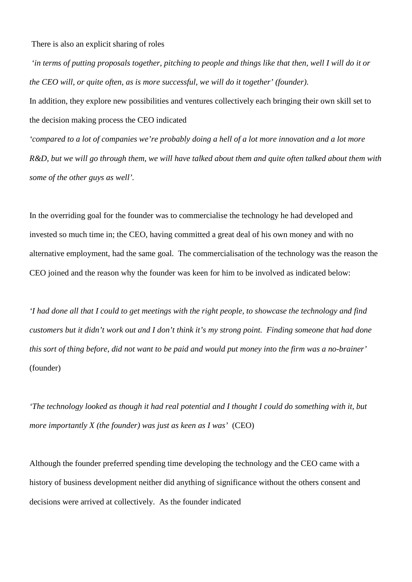There is also an explicit sharing of roles

*'in terms of putting proposals together, pitching to people and things like that then, well I will do it or the CEO will, or quite often, as is more successful, we will do it together' (founder)*.

In addition, they explore new possibilities and ventures collectively each bringing their own skill set to the decision making process the CEO indicated

*'compared to a lot of companies we're probably doing a hell of a lot more innovation and a lot more R&D, but we will go through them, we will have talked about them and quite often talked about them with some of the other guys as well'.*

In the overriding goal for the founder was to commercialise the technology he had developed and invested so much time in; the CEO, having committed a great deal of his own money and with no alternative employment, had the same goal. The commercialisation of the technology was the reason the CEO joined and the reason why the founder was keen for him to be involved as indicated below:

*'I had done all that I could to get meetings with the right people, to showcase the technology and find customers but it didn't work out and I don't think it's my strong point. Finding someone that had done this sort of thing before, did not want to be paid and would put money into the firm was a no-brainer'*  (founder)

*'The technology looked as though it had real potential and I thought I could do something with it, but more importantly X (the founder) was just as keen as I was'* (CEO)

Although the founder preferred spending time developing the technology and the CEO came with a history of business development neither did anything of significance without the others consent and decisions were arrived at collectively. As the founder indicated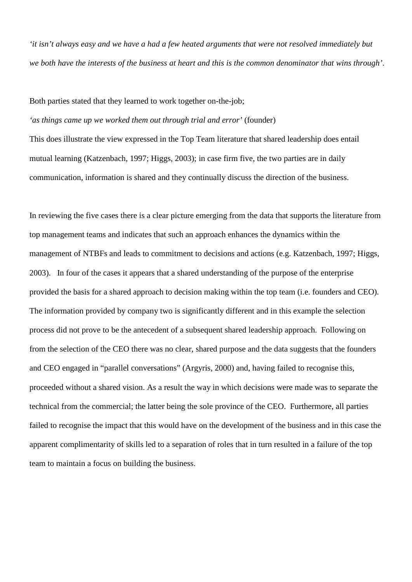*'it isn't always easy and we have a had a few heated arguments that were not resolved immediately but we both have the interests of the business at heart and this is the common denominator that wins through'*.

Both parties stated that they learned to work together on-the-job;

*'as things came up we worked them out through trial and error'* (founder)

This does illustrate the view expressed in the Top Team literature that shared leadership does entail mutual learning (Katzenbach, 1997; Higgs, 2003); in case firm five, the two parties are in daily communication, information is shared and they continually discuss the direction of the business.

In reviewing the five cases there is a clear picture emerging from the data that supports the literature from top management teams and indicates that such an approach enhances the dynamics within the management of NTBFs and leads to commitment to decisions and actions (e.g. Katzenbach, 1997; Higgs, 2003). In four of the cases it appears that a shared understanding of the purpose of the enterprise provided the basis for a shared approach to decision making within the top team (i.e. founders and CEO). The information provided by company two is significantly different and in this example the selection process did not prove to be the antecedent of a subsequent shared leadership approach. Following on from the selection of the CEO there was no clear, shared purpose and the data suggests that the founders and CEO engaged in "parallel conversations" (Argyris, 2000) and, having failed to recognise this, proceeded without a shared vision. As a result the way in which decisions were made was to separate the technical from the commercial; the latter being the sole province of the CEO. Furthermore, all parties failed to recognise the impact that this would have on the development of the business and in this case the apparent complimentarity of skills led to a separation of roles that in turn resulted in a failure of the top team to maintain a focus on building the business.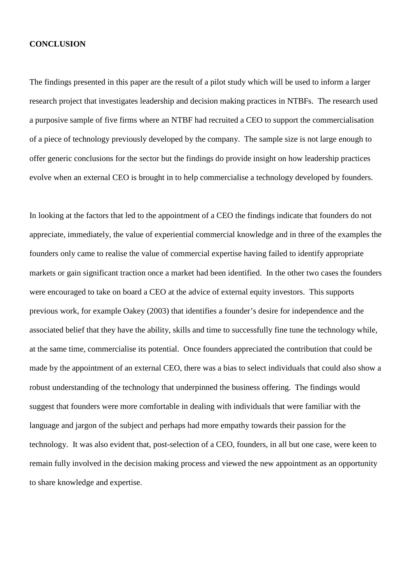#### **CONCLUSION**

The findings presented in this paper are the result of a pilot study which will be used to inform a larger research project that investigates leadership and decision making practices in NTBFs. The research used a purposive sample of five firms where an NTBF had recruited a CEO to support the commercialisation of a piece of technology previously developed by the company. The sample size is not large enough to offer generic conclusions for the sector but the findings do provide insight on how leadership practices evolve when an external CEO is brought in to help commercialise a technology developed by founders.

In looking at the factors that led to the appointment of a CEO the findings indicate that founders do not appreciate, immediately, the value of experiential commercial knowledge and in three of the examples the founders only came to realise the value of commercial expertise having failed to identify appropriate markets or gain significant traction once a market had been identified. In the other two cases the founders were encouraged to take on board a CEO at the advice of external equity investors. This supports previous work, for example Oakey (2003) that identifies a founder's desire for independence and the associated belief that they have the ability, skills and time to successfully fine tune the technology while, at the same time, commercialise its potential. Once founders appreciated the contribution that could be made by the appointment of an external CEO, there was a bias to select individuals that could also show a robust understanding of the technology that underpinned the business offering. The findings would suggest that founders were more comfortable in dealing with individuals that were familiar with the language and jargon of the subject and perhaps had more empathy towards their passion for the technology. It was also evident that, post-selection of a CEO, founders, in all but one case, were keen to remain fully involved in the decision making process and viewed the new appointment as an opportunity to share knowledge and expertise.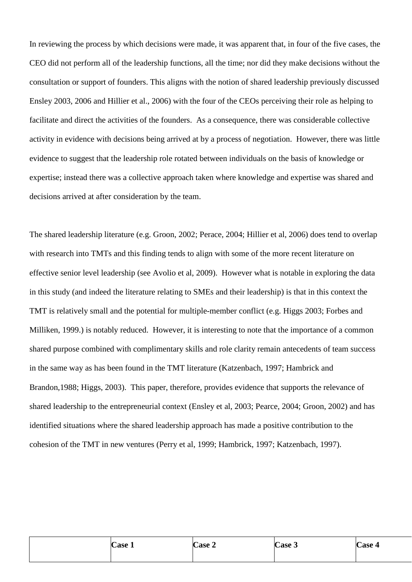In reviewing the process by which decisions were made, it was apparent that, in four of the five cases, the CEO did not perform all of the leadership functions, all the time; nor did they make decisions without the consultation or support of founders. This aligns with the notion of shared leadership previously discussed Ensley 2003, 2006 and Hillier et al., 2006) with the four of the CEOs perceiving their role as helping to facilitate and direct the activities of the founders. As a consequence, there was considerable collective activity in evidence with decisions being arrived at by a process of negotiation. However, there was little evidence to suggest that the leadership role rotated between individuals on the basis of knowledge or expertise; instead there was a collective approach taken where knowledge and expertise was shared and decisions arrived at after consideration by the team.

The shared leadership literature (e.g. Groon, 2002; Perace, 2004; Hillier et al, 2006) does tend to overlap with research into TMTs and this finding tends to align with some of the more recent literature on effective senior level leadership (see Avolio et al, 2009). However what is notable in exploring the data in this study (and indeed the literature relating to SMEs and their leadership) is that in this context the TMT is relatively small and the potential for multiple-member conflict (e.g. Higgs 2003; Forbes and Milliken, 1999.) is notably reduced. However, it is interesting to note that the importance of a common shared purpose combined with complimentary skills and role clarity remain antecedents of team success in the same way as has been found in the TMT literature (Katzenbach, 1997; Hambrick and Brandon,1988; Higgs, 2003). This paper, therefore, provides evidence that supports the relevance of shared leadership to the entrepreneurial context (Ensley et al, 2003; Pearce, 2004; Groon, 2002) and has identified situations where the shared leadership approach has made a positive contribution to the cohesion of the TMT in new ventures (Perry et al, 1999; Hambrick, 1997; Katzenbach, 1997).

| $\Gamma$<br>Case 3<br><b>Case 2</b><br><b>Case 1</b><br>$\cosh$ |  |
|-----------------------------------------------------------------|--|
|-----------------------------------------------------------------|--|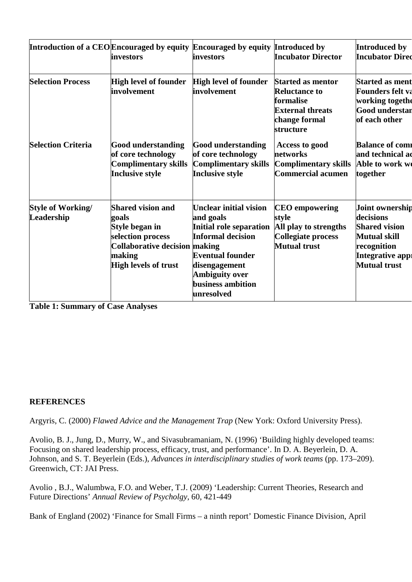| Introduction of a CEO Encouraged by equity Encouraged by equity Introduced by | investors                                                                                                                                          | investors                                                                                                                                                                                                 | <b>Incubator Director</b>                                                                                              | <b>Introduced by</b><br><b>Incubator Dired</b>                                                                                               |
|-------------------------------------------------------------------------------|----------------------------------------------------------------------------------------------------------------------------------------------------|-----------------------------------------------------------------------------------------------------------------------------------------------------------------------------------------------------------|------------------------------------------------------------------------------------------------------------------------|----------------------------------------------------------------------------------------------------------------------------------------------|
| <b>Selection Process</b>                                                      | <b>High level of founder</b><br>involvement                                                                                                        | <b>High level of founder</b><br>involvement                                                                                                                                                               | <b>Started as mentor</b><br><b>Reluctance to</b><br>formalise<br><b>External threats</b><br>change formal<br>structure | <b>Started as ment</b><br><b>Founders felt va</b><br>working togethe<br><b>Good understar</b><br>of each other                               |
| <b>Selection Criteria</b>                                                     | Good understanding<br>of core technology<br><b>Complimentary skills</b><br><b>Inclusive style</b>                                                  | <b>Good understanding</b><br>of core technology<br><b>Complimentary skills</b><br><b>Inclusive style</b>                                                                                                  | Access to good<br>networks<br><b>Complimentary skills</b><br><b>Commercial acumen</b>                                  | <b>Balance of comi</b><br>and technical ad<br>Able to work we<br>together                                                                    |
| <b>Style of Working/</b><br>Leadership                                        | <b>Shared vision and</b><br>goals<br>Style began in<br>selection process<br>Collaborative decision making<br>making<br><b>High levels of trust</b> | <b>Unclear initial vision</b><br>and goals<br>Initial role separation<br><b>Informal decision</b><br><b>Eventual founder</b><br>disengagement<br><b>Ambiguity over</b><br>business ambition<br>unresolved | <b>CEO</b> empowering<br>style<br>All play to strengths<br><b>Collegiate process</b><br><b>Mutual trust</b>            | Joint ownership<br>decisions<br><b>Shared vision</b><br><b>Mutual skill</b><br>recognition<br><b>Integrative appl</b><br><b>Mutual trust</b> |

**Table 1: Summary of Case Analyses**

# **REFERENCES**

Argyris, C. (2000) *Flawed Advice and the Management Trap* (New York: Oxford University Press).

Avolio, B. J., Jung, D., Murry, W., and Sivasubramaniam, N. (1996) 'Building highly developed teams: Focusing on shared leadership process, efficacy, trust, and performance'. In D. A. Beyerlein, D. A. Johnson, and S. T. Beyerlein (Eds.), *Advances in interdisciplinary studies of work teams* (pp. 173–209). Greenwich, CT: JAI Press.

Avolio , B.J., Walumbwa, F.O. and Weber, T.J. (2009) 'Leadership: Current Theories, Research and Future Directions' *Annual Review of Psycholgy,* 60, 421-449

Bank of England (2002) 'Finance for Small Firms – a ninth report' Domestic Finance Division, April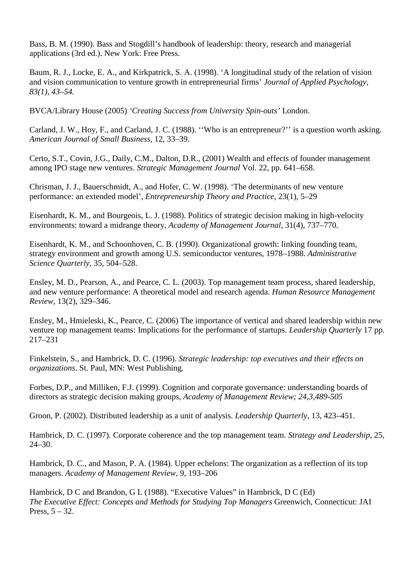Bass, B. M. (1990). Bass and Stogdill's handbook of leadership: theory, research and managerial applications (3rd ed.). New York: Free Press.

Baum, R. J., Locke, E. A., and Kirkpatrick, S. A. (1998). 'A longitudinal study of the relation of vision and vision communication to venture growth in entrepreneurial firms' *Journal of Applied Psychology, 83(1), 43–54.*

BVCA/Library House (2005) *'Creating Success from University Spin-outs'* London.

Carland, J. W., Hoy, F., and Carland, J. C. (1988). ''Who is an entrepreneur?'' is a question worth asking. *American Journal of Small Business*, 12, 33–39.

Certo, S.T., Covin, J.G., Daily, C.M., Dalton, D.R., (2001) Wealth and effects of founder management among IPO stage new ventures. *Strategic Management Journal* Vol. 22, pp. 641–658.

Chrisman, J. J., Bauerschmidt, A., and Hofer, C. W. (1998). 'The determinants of new venture performance: an extended model', *Entrepreneurship Theory and Practice*, 23(1), 5–29

Eisenhardt, K. M., and Bourgeois, L. J. (1988). Politics of strategic decision making in high-velocity environments: toward a midrange theory, *Academy of Management Journal*, 31(4), 737–770.

Eisenhardt, K. M., and Schoonhoven, C. B. (1990). Organizational growth: linking founding team, strategy environment and growth among U.S. semiconductor ventures, 1978–1988. *Administrative Science Quarterly*, 35, 504–528.

Ensley, M. D., Pearson, A., and Pearce, C. L. (2003). Top management team process, shared leadership, and new venture performance: A theoretical model and research agenda. *Human Resource Management Review*, 13(2), 329–346.

Ensley, M., Hmieleski, K., Pearce, C. (2006) The importance of vertical and shared leadership within new venture top management teams: Implications for the performance of startups. *Leadership Quarterly* 17 pp. 217–231

Finkelstein, S., and Hambrick, D. C. (1996). *Strategic leadership: top executives and their effects on organizations*. St. Paul, MN: West Publishing.

Forbes, D.P., and Milliken, F.J. (1999). Cognition and corporate governance: understanding boards of directors as strategic decision making groups, *Academy of Management Review; 24,3,489-505*

Groon, P. (2002). Distributed leadership as a unit of analysis. *Leadership Quarterly*, 13, 423–451.

Hambrick, D. C. (1997). Corporate coherence and the top management team*. Strategy and Leadership*, 25, 24–30.

Hambrick, D. C., and Mason, P. A. (1984). Upper echelons: The organization as a reflection of its top managers. *Academy of Management Review*, 9, 193–206

Hambrick, D C and Brandon, G L (1988). "Executive Values" in Hambrick, D C (Ed) *The Executive Effect: Concepts and Methods for Studying Top Managers* Greenwich, Connecticut: JAI Press,  $5 - 32$ .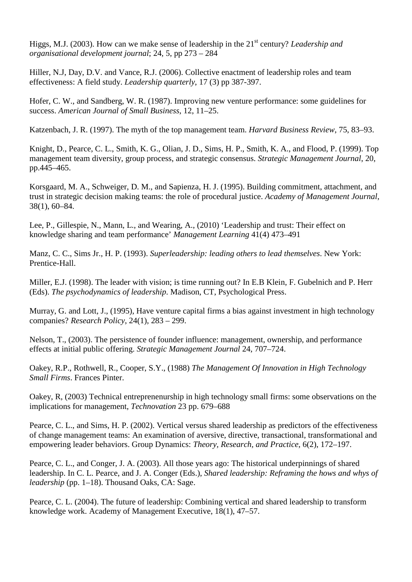Higgs, M.J. (2003). How can we make sense of leadership in the 21<sup>st</sup> century? *Leadership and organisational development journal*; 24, 5, pp 273 – 284

Hiller, N.J, Day, D.V. and Vance, R.J. (2006). Collective enactment of leadership roles and team effectiveness: A field study. *Leadership quarterly*, 17 (3) pp 387-397.

Hofer, C. W., and Sandberg, W. R. (1987). Improving new venture performance: some guidelines for success. *American Journal of Small Business*, 12, 11–25.

Katzenbach, J. R. (1997). The myth of the top management team. *Harvard Business Review*, 75, 83–93.

Knight, D., Pearce, C. L., Smith, K. G., Olian, J. D., Sims, H. P., Smith, K. A., and Flood, P. (1999). Top management team diversity, group process, and strategic consensus. *Strategic Management Journal*, 20, pp.445–465.

Korsgaard, M. A., Schweiger, D. M., and Sapienza, H. J. (1995). Building commitment, attachment, and trust in strategic decision making teams: the role of procedural justice. *Academy of Management Journal*, 38(1), 60–84.

Lee, P., Gillespie, N., Mann, L., and Wearing, A., (2010) 'Leadership and trust: Their effect on knowledge sharing and team performance' *Management Learning* 41(4) 473–491

Manz, C. C., Sims Jr., H. P. (1993). *Superleadership: leading others to lead themselves*. New York: Prentice-Hall.

Miller, E.J. (1998). The leader with vision; is time running out? In E.B Klein, F. Gubelnich and P. Herr (Eds). *The psychodynamics of leadership*. Madison, CT, Psychological Press.

Murray, G. and Lott, J., (1995), Have venture capital firms a bias against investment in high technology companies? *Research Policy*, 24(1), 283 – 299.

Nelson, T., (2003). The persistence of founder influence: management, ownership, and performance effects at initial public offering. *Strategic Management Journal* 24, 707–724.

Oakey, R.P., Rothwell, R., Cooper, S.Y., (1988) *The Management Of Innovation in High Technology Small Firms*. Frances Pinter.

Oakey, R, (2003) Technical entreprenenurship in high technology small firms: some observations on the implications for management, *Technovation* 23 pp. 679–688

Pearce, C. L., and Sims, H. P. (2002). Vertical versus shared leadership as predictors of the effectiveness of change management teams: An examination of aversive, directive, transactional, transformational and empowering leader behaviors. Group Dynamics: *Theory, Research, and Practice*, 6(2), 172–197.

Pearce, C. L., and Conger, J. A. (2003). All those years ago: The historical underpinnings of shared leadership. In C. L. Pearce, and J. A. Conger (Eds.), *Shared leadership: Reframing the hows and whys of leadership* (pp. 1–18). Thousand Oaks, CA: Sage.

Pearce, C. L. (2004). The future of leadership: Combining vertical and shared leadership to transform knowledge work. Academy of Management Executive, 18(1), 47–57.